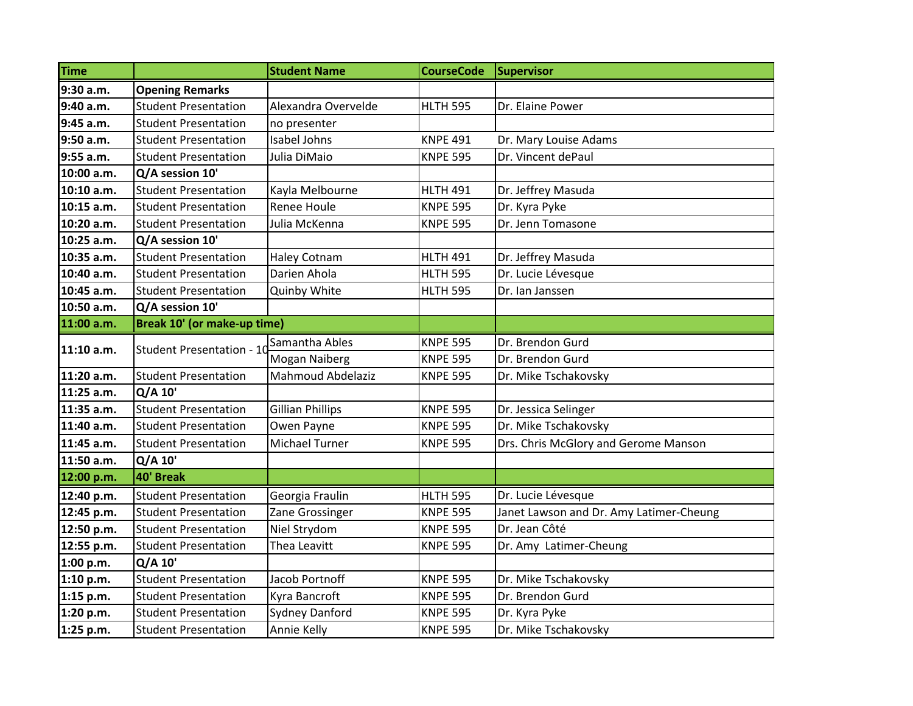| <b>Time</b> |                             | <b>Student Name</b>     | <b>CourseCode</b> | Supervisor                              |
|-------------|-----------------------------|-------------------------|-------------------|-----------------------------------------|
| 9:30 a.m.   | <b>Opening Remarks</b>      |                         |                   |                                         |
| 9:40 a.m.   | <b>Student Presentation</b> | Alexandra Overvelde     | <b>HLTH 595</b>   | Dr. Elaine Power                        |
| 9:45 a.m.   | <b>Student Presentation</b> | no presenter            |                   |                                         |
| 9:50 a.m.   | <b>Student Presentation</b> | Isabel Johns            | <b>KNPE 491</b>   | Dr. Mary Louise Adams                   |
| 9:55 a.m.   | <b>Student Presentation</b> | Julia DiMaio            | <b>KNPE 595</b>   | Dr. Vincent dePaul                      |
| 10:00 a.m.  | Q/A session 10'             |                         |                   |                                         |
| 10:10 a.m.  | <b>Student Presentation</b> | Kayla Melbourne         | <b>HLTH 491</b>   | Dr. Jeffrey Masuda                      |
| 10:15 a.m.  | <b>Student Presentation</b> | <b>Renee Houle</b>      | <b>KNPE 595</b>   | Dr. Kyra Pyke                           |
| 10:20 a.m.  | <b>Student Presentation</b> | Julia McKenna           | <b>KNPE 595</b>   | Dr. Jenn Tomasone                       |
| 10:25 a.m.  | Q/A session 10'             |                         |                   |                                         |
| 10:35 a.m.  | <b>Student Presentation</b> | <b>Haley Cotnam</b>     | <b>HLTH 491</b>   | Dr. Jeffrey Masuda                      |
| 10:40 a.m.  | <b>Student Presentation</b> | Darien Ahola            | <b>HLTH 595</b>   | Dr. Lucie Lévesque                      |
| 10:45 a.m.  | <b>Student Presentation</b> | Quinby White            | <b>HLTH 595</b>   | Dr. Ian Janssen                         |
| 10:50 a.m.  | Q/A session 10'             |                         |                   |                                         |
| 11:00 a.m.  | Break 10' (or make-up time) |                         |                   |                                         |
| 11:10 a.m.  | Student Presentation - 10   | Samantha Ables          | <b>KNPE 595</b>   | Dr. Brendon Gurd                        |
|             |                             | Mogan Naiberg           | <b>KNPE 595</b>   | Dr. Brendon Gurd                        |
| 11:20 a.m.  | <b>Student Presentation</b> | Mahmoud Abdelaziz       | <b>KNPE 595</b>   | Dr. Mike Tschakovsky                    |
| 11:25 a.m.  | Q/A 10'                     |                         |                   |                                         |
| 11:35 a.m.  | <b>Student Presentation</b> | <b>Gillian Phillips</b> | <b>KNPE 595</b>   | Dr. Jessica Selinger                    |
| 11:40 a.m.  | <b>Student Presentation</b> | Owen Payne              | <b>KNPE 595</b>   | Dr. Mike Tschakovsky                    |
| 11:45 a.m.  | <b>Student Presentation</b> | Michael Turner          | <b>KNPE 595</b>   | Drs. Chris McGlory and Gerome Manson    |
| 11:50 a.m.  | Q/A 10'                     |                         |                   |                                         |
| 12:00 p.m.  | 40' Break                   |                         |                   |                                         |
| 12:40 p.m.  | <b>Student Presentation</b> | Georgia Fraulin         | <b>HLTH 595</b>   | Dr. Lucie Lévesque                      |
| 12:45 p.m.  | <b>Student Presentation</b> | Zane Grossinger         | <b>KNPE 595</b>   | Janet Lawson and Dr. Amy Latimer-Cheung |
| 12:50 p.m.  | <b>Student Presentation</b> | Niel Strydom            | <b>KNPE 595</b>   | Dr. Jean Côté                           |
| 12:55 p.m.  | <b>Student Presentation</b> | Thea Leavitt            | <b>KNPE 595</b>   | Dr. Amy Latimer-Cheung                  |
| 1:00 p.m.   | $Q/A$ 10'                   |                         |                   |                                         |
| 1:10 p.m.   | <b>Student Presentation</b> | Jacob Portnoff          | <b>KNPE 595</b>   | Dr. Mike Tschakovsky                    |
| 1:15 p.m.   | <b>Student Presentation</b> | Kyra Bancroft           | <b>KNPE 595</b>   | Dr. Brendon Gurd                        |
| 1:20 p.m.   | <b>Student Presentation</b> | <b>Sydney Danford</b>   | <b>KNPE 595</b>   | Dr. Kyra Pyke                           |
| 1:25 p.m.   | <b>Student Presentation</b> | Annie Kelly             | <b>KNPE 595</b>   | Dr. Mike Tschakovsky                    |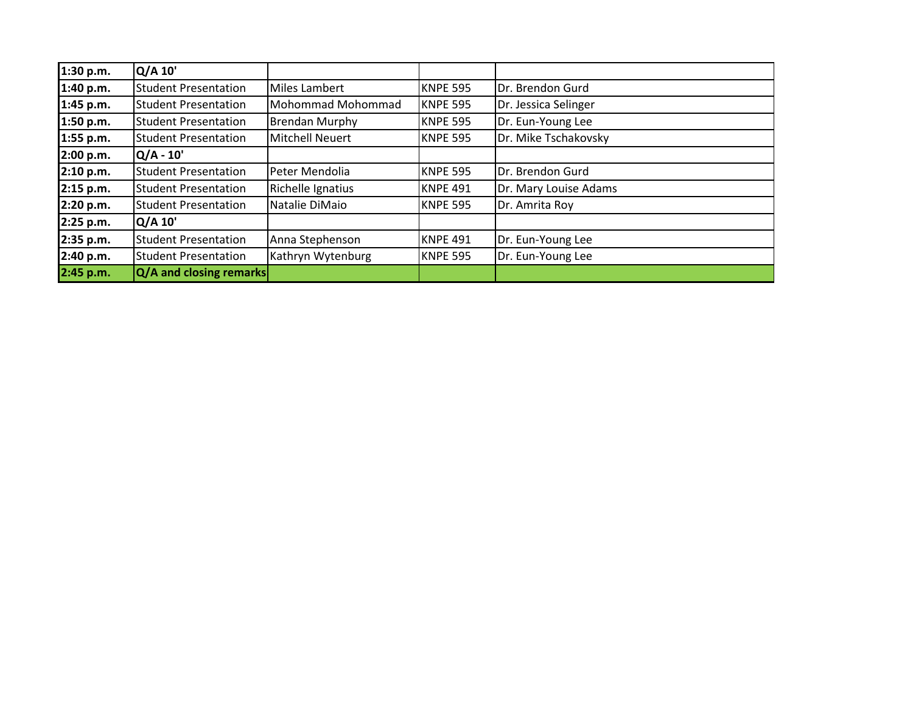| 1:30 p.m. | Q/A 10'                     |                        |                 |                       |
|-----------|-----------------------------|------------------------|-----------------|-----------------------|
| 1:40 p.m. | <b>Student Presentation</b> | Miles Lambert          | <b>KNPE 595</b> | Dr. Brendon Gurd      |
| 1:45 p.m. | <b>Student Presentation</b> | Mohommad Mohommad      | <b>KNPE 595</b> | Dr. Jessica Selinger  |
| 1:50 p.m. | <b>Student Presentation</b> | <b>Brendan Murphy</b>  | <b>KNPE 595</b> | Dr. Eun-Young Lee     |
| 1:55 p.m. | <b>Student Presentation</b> | <b>Mitchell Neuert</b> | <b>KNPE 595</b> | Dr. Mike Tschakovsky  |
| 2:00 p.m. | $Q/A - 10'$                 |                        |                 |                       |
| 2:10 p.m. | <b>Student Presentation</b> | Peter Mendolia         | <b>KNPE 595</b> | Dr. Brendon Gurd      |
| 2:15 p.m. | <b>Student Presentation</b> | Richelle Ignatius      | <b>KNPE 491</b> | Dr. Mary Louise Adams |
| 2:20 p.m. | <b>Student Presentation</b> | Natalie DiMaio         | <b>KNPE 595</b> | Dr. Amrita Roy        |
| 2:25 p.m. | Q/A 10'                     |                        |                 |                       |
| 2:35 p.m. | <b>Student Presentation</b> | Anna Stephenson        | <b>KNPE 491</b> | Dr. Eun-Young Lee     |
| 2:40 p.m. | <b>Student Presentation</b> | Kathryn Wytenburg      | <b>KNPE 595</b> | Dr. Eun-Young Lee     |
| 2:45 p.m. | Q/A and closing remarks     |                        |                 |                       |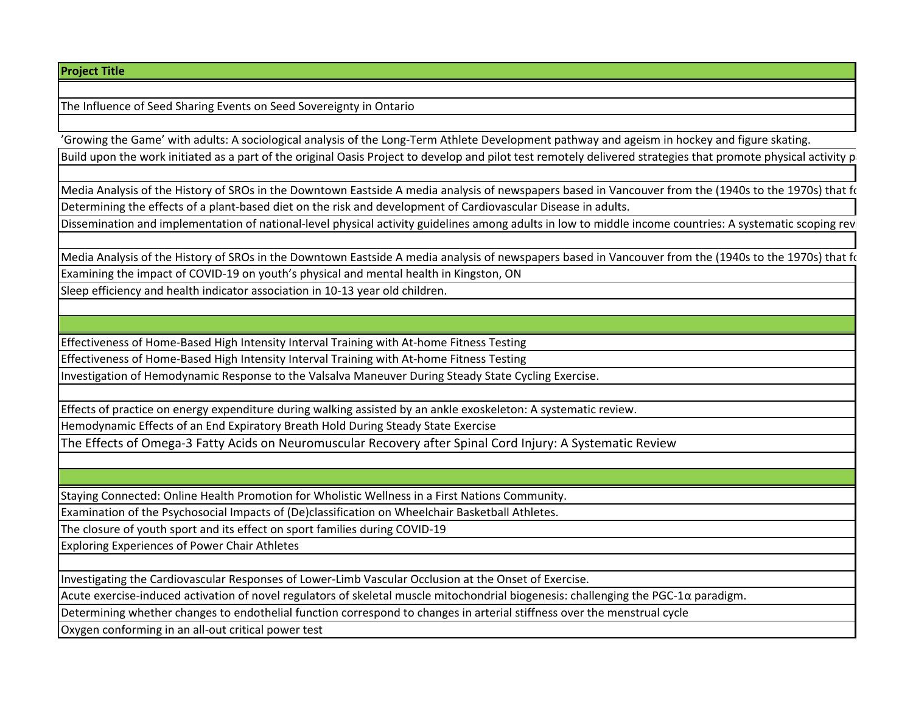## **Project Title**

The Influence of Seed Sharing Events on Seed Sovereignty in Ontario

'Growing the Game' with adults: A sociological analysis of the Long-Term Athlete Development pathway and ageism in hockey and figure skating. Build upon the work initiated as a part of the original Oasis Project to develop and pilot test remotely delivered strategies that promote physical activity p

Media Analysis of the History of SROs in the Downtown Eastside A media analysis of newspapers based in Vancouver from the (1940s to the 1970s) that found to Determining the effects of a plant-based diet on the risk and development of Cardiovascular Disease in adults.

Dissemination and implementation of national-level physical activity guidelines among adults in low to middle income countries: A systematic scoping review

Media Analysis of the History of SROs in the Downtown Eastside A media analysis of newspapers based in Vancouver from the (1940s to the 1970s) that focuses on the 1970s) that for Examining the impact of COVID-19 on youth's physical and mental health in Kingston, ON

Sleep efficiency and health indicator association in 10-13 year old children.

Effectiveness of Home-Based High Intensity Interval Training with At-home Fitness Testing

Effectiveness of Home-Based High Intensity Interval Training with At-home Fitness Testing

Investigation of Hemodynamic Response to the Valsalva Maneuver During Steady State Cycling Exercise.

Effects of practice on energy expenditure during walking assisted by an ankle exoskeleton: A systematic review.

Hemodynamic Effects of an End Expiratory Breath Hold During Steady State Exercise

The Effects of Omega-3 Fatty Acids on Neuromuscular Recovery after Spinal Cord Injury: A Systematic Review

Staying Connected: Online Health Promotion for Wholistic Wellness in a First Nations Community.

Examination of the Psychosocial Impacts of (De)classification on Wheelchair Basketball Athletes.

The closure of youth sport and its effect on sport families during COVID-19

Exploring Experiences of Power Chair Athletes

Investigating the Cardiovascular Responses of Lower-Limb Vascular Occlusion at the Onset of Exercise.

Acute exercise-induced activation of novel regulators of skeletal muscle mitochondrial biogenesis: challenging the PGC-1α paradigm.

Determining whether changes to endothelial function correspond to changes in arterial stiffness over the menstrual cycle

Oxygen conforming in an all-out critical power test